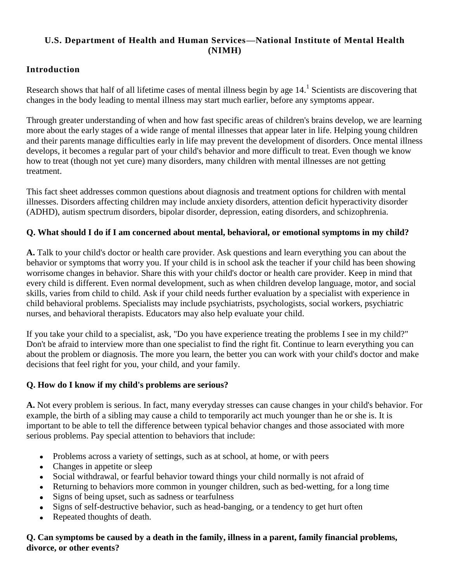### **U.S. Department of Health and Human Services—National Institute of Mental Health (NIMH)**

# **Introduction**

Research shows that half of all lifetime cases of mental illness begin by age  $14<sup>1</sup>$ . Scientists are discovering that changes in the body leading to mental illness may start much earlier, before any symptoms appear.

Through greater understanding of when and how fast specific areas of children's brains develop, we are learning more about the early stages of a wide range of mental illnesses that appear later in life. Helping young children and their parents manage difficulties early in life may prevent the development of disorders. Once mental illness develops, it becomes a regular part of your child's behavior and more difficult to treat. Even though we know how to treat (though not yet cure) many disorders, many children with mental illnesses are not getting treatment.

This fact sheet addresses common questions about diagnosis and treatment options for children with mental illnesses. Disorders affecting children may include [anxiety disorders,](http://www.nimh.nih.gov/health/topics/anxiety-disorders/index.shtml) [attention deficit hyperactivity disorder](http://www.nimh.nih.gov/health/topics/attention-deficit-hyperactivity-disorder-adhd/index.shtml)  [\(ADHD\),](http://www.nimh.nih.gov/health/topics/attention-deficit-hyperactivity-disorder-adhd/index.shtml) [autism spectrum disorders,](http://www.nimh.nih.gov/health/topics/autism-spectrum-disorders-pervasive-developmental-disorders/index.shtml) [bipolar disorder,](http://www.nimh.nih.gov/health/topics/bipolar-disorder/index.shtml) [depression,](http://www.nimh.nih.gov/health/topics/depression/index.shtml) [eating disorders,](http://www.nimh.nih.gov/health/topics/eating-disorders/index.shtml) and [schizophrenia.](http://www.nimh.nih.gov/health/topics/schizophrenia/index.shtml)

## **Q. What should I do if I am concerned about mental, behavioral, or emotional symptoms in my child?**

**A.** Talk to your child's doctor or health care provider. Ask questions and learn everything you can about the behavior or symptoms that worry you. If your child is in school ask the teacher if your child has been showing worrisome changes in behavior. Share this with your child's doctor or health care provider. Keep in mind that every child is different. Even normal development, such as when children develop language, motor, and social skills, varies from child to child. Ask if your child needs further evaluation by a specialist with experience in child behavioral problems. Specialists may include psychiatrists, psychologists, social workers, psychiatric nurses, and behavioral therapists. Educators may also help evaluate your child.

If you take your child to a specialist, ask, "Do you have experience treating the problems I see in my child?" Don't be afraid to interview more than one specialist to find the right fit. Continue to learn everything you can about the problem or diagnosis. The more you learn, the better you can work with your child's doctor and make decisions that feel right for you, your child, and your family.

## **Q. How do I know if my child's problems are serious?**

**A.** Not every problem is serious. In fact, many everyday stresses can cause changes in your child's behavior. For example, the birth of a sibling may cause a child to temporarily act much younger than he or she is. It is important to be able to tell the difference between typical behavior changes and those associated with more serious problems. Pay special attention to behaviors that include:

- Problems across a variety of settings, such as at school, at home, or with peers
- Changes in appetite or sleep
- Social withdrawal, or fearful behavior toward things your child normally is not afraid of
- Returning to behaviors more common in younger children, such as bed-wetting, for a long time
- Signs of being upset, such as sadness or tearfulness
- Signs of self-destructive behavior, such as head-banging, or a tendency to get hurt often
- Repeated thoughts of death.

### **Q. Can symptoms be caused by a death in the family, illness in a parent, family financial problems, divorce, or other events?**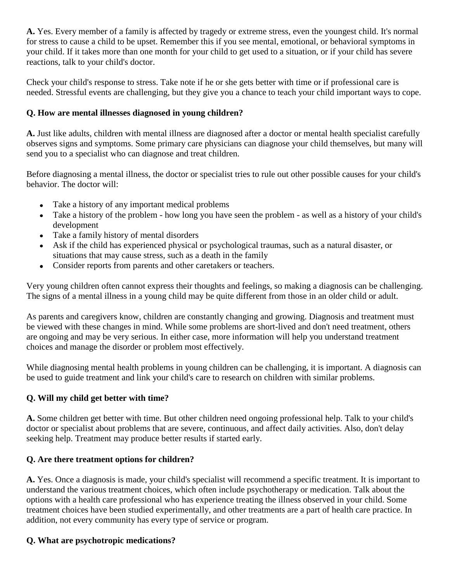**A.** Yes. Every member of a family is affected by tragedy or extreme stress, even the youngest child. It's normal for stress to cause a child to be upset. Remember this if you see mental, emotional, or behavioral symptoms in your child. If it takes more than one month for your child to get used to a situation, or if your child has severe reactions, talk to your child's doctor.

Check your child's response to stress. Take note if he or she gets better with time or if professional care is needed. Stressful events are challenging, but they give you a chance to teach your child important ways to cope.

## **Q. How are mental illnesses diagnosed in young children?**

**A.** Just like adults, children with mental illness are diagnosed after a doctor or mental health specialist carefully observes signs and symptoms. Some primary care physicians can diagnose your child themselves, but many will send you to a specialist who can diagnose and treat children.

Before diagnosing a mental illness, the doctor or specialist tries to rule out other possible causes for your child's behavior. The doctor will:

- Take a history of any important medical problems
- Take a history of the problem how long you have seen the problem as well as a history of your child's development
- Take a family history of mental disorders
- Ask if the child has experienced physical or psychological traumas, such as a natural disaster, or situations that may cause stress, such as a death in the family
- Consider reports from parents and other caretakers or teachers.  $\bullet$

Very young children often cannot express their thoughts and feelings, so making a diagnosis can be challenging. The signs of a mental illness in a young child may be quite different from those in an older child or adult.

As parents and caregivers know, children are constantly changing and growing. Diagnosis and treatment must be viewed with these changes in mind. While some problems are short-lived and don't need treatment, others are ongoing and may be very serious. In either case, more information will help you understand treatment choices and manage the disorder or problem most effectively.

While diagnosing mental health problems in young children can be challenging, it is important. A diagnosis can be used to guide treatment and link your child's care to research on children with similar problems.

## **Q. Will my child get better with time?**

**A.** Some children get better with time. But other children need ongoing professional help. Talk to your child's doctor or specialist about problems that are severe, continuous, and affect daily activities. Also, don't delay seeking help. Treatment may produce better results if started early.

## **Q. Are there treatment options for children?**

**A.** Yes. Once a diagnosis is made, your child's specialist will recommend a specific treatment. It is important to understand the various treatment choices, which often include psychotherapy or medication. Talk about the options with a health care professional who has experience treating the illness observed in your child. Some treatment choices have been studied experimentally, and other treatments are a part of health care practice. In addition, not every community has every type of service or program.

## **Q. What are psychotropic medications?**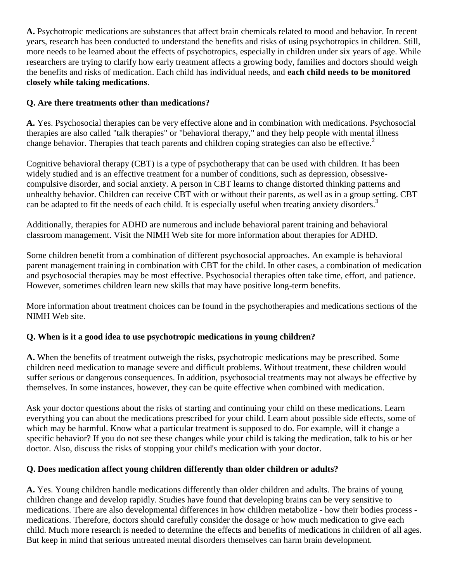**A.** Psychotropic medications are substances that affect brain chemicals related to mood and behavior. In recent years, research has been conducted to understand the benefits and risks of using psychotropics in children. Still, more needs to be learned about the effects of psychotropics, especially in children under six years of age. While researchers are trying to clarify how early treatment affects a growing body, families and doctors should weigh the benefits and risks of medication. Each child has individual needs, and **each child needs to be monitored closely while taking medications**.

## **Q. Are there treatments other than medications?**

**A.** Yes. Psychosocial therapies can be very effective alone and in combination with medications. Psychosocial therapies are also called "talk therapies" or "behavioral therapy," and they help people with mental illness change behavior. Therapies that teach parents and children coping strategies can also be effective.<sup>2</sup>

[Cognitive behavioral therapy \(CBT\)](http://www.nimh.nih.gov/health/topics/psychotherapies/index.shtml) is a type of psychotherapy that can be used with children. It has been widely studied and is an effective treatment for a number of conditions, such as depression, obsessivecompulsive disorder, and social anxiety. A person in CBT learns to change distorted thinking patterns and unhealthy behavior. Children can receive CBT with or without their parents, as well as in a group setting. CBT can be adapted to fit the needs of each child. It is especially useful when treating [anxiety disorders.](http://www.nimh.nih.gov/health/topics/anxiety-disorders/index.shtml)<sup>3</sup>

Additionally, therapies for ADHD are numerous and include behavioral parent training and behavioral classroom management. Visit the NIMH Web site for more information about therapies for [ADHD.](http://www.nimh.nih.gov/health/topics/attention-deficit-hyperactivity-disorder-adhd/index.shtml)

Some children benefit from a combination of different psychosocial approaches. An example is behavioral parent management training in combination with CBT for the child. In other cases, a combination of medication and psychosocial therapies may be most effective. Psychosocial therapies often take time, effort, and patience. However, sometimes children learn new skills that may have positive long-term benefits.

More information about treatment choices can be found in the [psychotherapies](http://www.nimh.nih.gov/health/topics/psychotherapies/index.shtml) and [medications](http://www.nimh.nih.gov/health/publications/mental-health-medications/index.shtml) sections of the NIMH Web site.

## **Q. When is it a good idea to use psychotropic medications in young children?**

**A.** When the benefits of treatment outweigh the risks, psychotropic medications may be prescribed. Some children need medication to manage severe and difficult problems. Without treatment, these children would suffer serious or dangerous consequences. In addition, psychosocial treatments may not always be effective by themselves. In some instances, however, they can be quite effective when combined with medication.

Ask your doctor questions about the risks of starting and continuing your child on these medications. Learn everything you can about the medications prescribed for your child. Learn about possible side effects, some of which may be harmful. Know what a particular treatment is supposed to do. For example, will it change a specific behavior? If you do not see these changes while your child is taking the medication, talk to his or her doctor. Also, discuss the risks of stopping your child's medication with your doctor.

## **Q. Does medication affect young children differently than older children or adults?**

**A.** Yes. Young children handle medications differently than older children and adults. The brains of young children change and develop rapidly. Studies have found that developing brains can be very sensitive to medications. There are also developmental differences in how children metabolize - how their bodies process medications. Therefore, doctors should carefully consider the dosage or how much medication to give each child. Much more research is needed to determine the effects and benefits of medications in children of all ages. But keep in mind that serious untreated mental disorders themselves can harm brain development.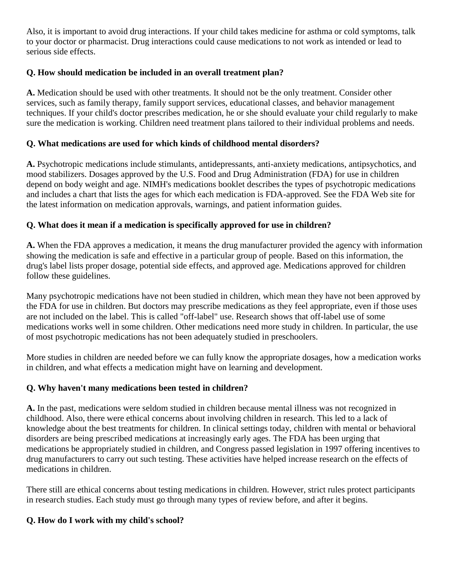Also, it is important to avoid drug interactions. If your child takes medicine for asthma or cold symptoms, talk to your doctor or pharmacist. Drug interactions could cause medications to not work as intended or lead to serious side effects.

## **Q. How should medication be included in an overall treatment plan?**

**A.** Medication should be used with other treatments. It should not be the only treatment. Consider other services, such as family therapy, family support services, educational classes, and behavior management techniques. If your child's doctor prescribes medication, he or she should evaluate your child regularly to make sure the medication is working. Children need treatment plans tailored to their individual problems and needs.

#### **Q. What medications are used for which kinds of childhood mental disorders?**

**A.** Psychotropic medications include stimulants, antidepressants, anti-anxiety medications, antipsychotics, and mood stabilizers. Dosages approved by the U.S. Food and Drug Administration (FDA) for use in children depend on body weight and age. [NIMH's medications booklet](http://www.nimh.nih.gov/health/publications/mental-health-medications/index.shtml) describes the types of psychotropic medications and includes a chart that lists the ages for which each medication is FDA-approved. See the [FDA Web site](http://www.fda.gov/) for the latest information on medication approvals, warnings, and patient information guides.

### **Q. What does it mean if a medication is specifically approved for use in children?**

**A.** When the FDA approves a medication, it means the drug manufacturer provided the agency with information showing the medication is safe and effective in a particular group of people. Based on this information, the drug's label lists proper dosage, potential side effects, and approved age. Medications approved for children follow these guidelines.

Many psychotropic medications have not been studied in children, which mean they have not been approved by the FDA for use in children. But doctors may prescribe medications as they feel appropriate, even if those uses are not included on the label. This is called "off-label" use. Research shows that off-label use of some medications works well in some children. Other medications need more study in children. In particular, the use of most psychotropic medications has not been adequately studied in preschoolers.

More studies in children are needed before we can fully know the appropriate dosages, how a medication works in children, and what effects a medication might have on learning and development.

## **Q. Why haven't many medications been tested in children?**

**A.** In the past, medications were seldom studied in children because mental illness was not recognized in childhood. Also, there were ethical concerns about involving children in research. This led to a lack of knowledge about the best treatments for children. In clinical settings today, children with mental or behavioral disorders are being prescribed medications at increasingly early ages. The FDA has been urging that medications be appropriately studied in children, and Congress passed legislation in 1997 offering incentives to drug manufacturers to carry out such testing. These activities have helped increase research on the effects of medications in children.

There still are ethical concerns about testing medications in children. However, strict rules protect participants in research studies. Each study must go through many types of review before, and after it begins.

#### **Q. How do I work with my child's school?**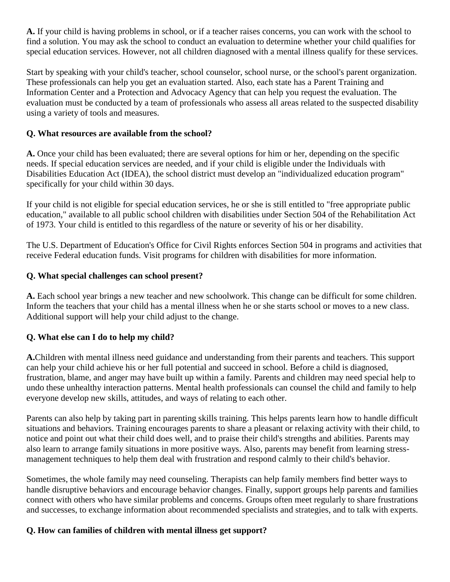**A.** If your child is having problems in school, or if a teacher raises concerns, you can work with the school to find a solution. You may ask the school to conduct an evaluation to determine whether your child qualifies for special education services. However, not all children diagnosed with a mental illness qualify for these services.

Start by speaking with your child's teacher, school counselor, school nurse, or the school's parent organization. These professionals can help you get an evaluation started. Also, each state has a Parent Training and Information Center and a Protection and Advocacy Agency that can help you request the evaluation. The evaluation must be conducted by a team of professionals who assess all areas related to the suspected disability using a variety of tools and measures.

### **Q. What resources are available from the school?**

**A.** Once your child has been evaluated; there are several options for him or her, depending on the specific needs. If special education services are needed, and if your child is eligible under the Individuals with Disabilities Education Act (IDEA), the school district must develop an "individualized education program" specifically for your child within 30 days.

If your child is not eligible for special education services, he or she is still entitled to "free appropriate public education," available to all public school children with disabilities under Section 504 of the Rehabilitation Act of 1973. Your child is entitled to this regardless of the nature or severity of his or her disability.

The U.S. Department of Education's Office for Civil Rights enforces [Section 504](http://www.ed.gov/about/offices/list/ocr/504faq.html) in programs and activities that receive Federal education funds. Visit [programs for children with disabilities](http://www.ed.gov/parents/needs/speced/edpicks.jhtml?src=ln) for more information.

### **Q. What special challenges can school present?**

**A.** Each school year brings a new teacher and new schoolwork. This change can be difficult for some children. Inform the teachers that your child has a mental illness when he or she starts school or moves to a new class. Additional support will help your child adjust to the change.

## **Q. What else can I do to help my child?**

**A.**Children with mental illness need guidance and understanding from their parents and teachers. This support can help your child achieve his or her full potential and succeed in school. Before a child is diagnosed, frustration, blame, and anger may have built up within a family. Parents and children may need special help to undo these unhealthy interaction patterns. Mental health professionals can counsel the child and family to help everyone develop new skills, attitudes, and ways of relating to each other.

Parents can also help by taking part in parenting skills training. This helps parents learn how to handle difficult situations and behaviors. Training encourages parents to share a pleasant or relaxing activity with their child, to notice and point out what their child does well, and to praise their child's strengths and abilities. Parents may also learn to arrange family situations in more positive ways. Also, parents may benefit from learning stressmanagement techniques to help them deal with frustration and respond calmly to their child's behavior.

Sometimes, the whole family may need counseling. Therapists can help family members find better ways to handle disruptive behaviors and encourage behavior changes. Finally, support groups help parents and families connect with others who have similar problems and concerns. Groups often meet regularly to share frustrations and successes, to exchange information about recommended specialists and strategies, and to talk with experts.

#### **Q. How can families of children with mental illness get support?**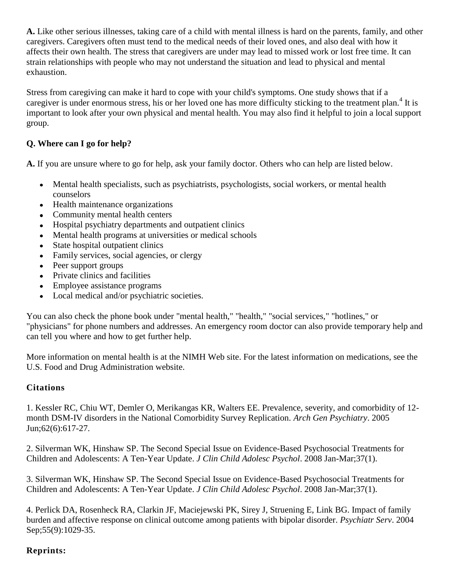**A.** Like other serious illnesses, taking care of a child with mental illness is hard on the parents, family, and other caregivers. Caregivers often must tend to the medical needs of their loved ones, and also deal with how it affects their own health. The stress that caregivers are under may lead to missed work or lost free time. It can strain relationships with people who may not understand the situation and lead to physical and mental exhaustion.

Stress from caregiving can make it hard to cope with your child's symptoms. One study shows that if a caregiver is under enormous stress, his or her loved one has more difficulty sticking to the treatment plan.<sup>4</sup> It is important to look after your own physical and mental health. You may also find it helpful to join a local support group.

# **Q. Where can I go for help?**

**A.** If you are unsure where to go for help, ask your family doctor. Others who can help are listed below.

- Mental health specialists, such as psychiatrists, psychologists, social workers, or mental health  $\bullet$ counselors
- Health maintenance organizations
- Community mental health centers
- Hospital psychiatry departments and outpatient clinics
- Mental health programs at universities or medical schools
- State hospital outpatient clinics  $\bullet$
- Family services, social agencies, or clergy
- Peer support groups
- Private clinics and facilities
- Employee assistance programs
- Local medical and/or psychiatric societies.

You can also check the phone book under "mental health," "health," "social services," "hotlines," or "physicians" for phone numbers and addresses. An emergency room doctor can also provide temporary help and can tell you where and how to get further help.

More information on mental health is at the [NIMH Web site.](http://www.nimh.nih.gov/) For the latest information on medications, see the [U.S. Food and Drug Administration](http://www.fda.gov/) website.

#### **Citations**

1. Kessler RC, Chiu WT, Demler O, Merikangas KR, Walters EE. Prevalence, severity, and comorbidity of 12 month DSM-IV disorders in the National Comorbidity Survey Replication. *Arch Gen Psychiatry*. 2005 Jun;62(6):617-27.

2. Silverman WK, Hinshaw SP. The Second Special Issue on Evidence-Based Psychosocial Treatments for Children and Adolescents: A Ten-Year Update. *J Clin Child Adolesc Psychol*. 2008 Jan-Mar;37(1).

3. Silverman WK, Hinshaw SP. The Second Special Issue on Evidence-Based Psychosocial Treatments for Children and Adolescents: A Ten-Year Update. *J Clin Child Adolesc Psychol*. 2008 Jan-Mar;37(1).

4. Perlick DA, Rosenheck RA, Clarkin JF, Maciejewski PK, Sirey J, Struening E, Link BG. Impact of family burden and affective response on clinical outcome among patients with bipolar disorder. *Psychiatr Serv*. 2004 Sep; 55(9): 1029-35.

## **Reprints:**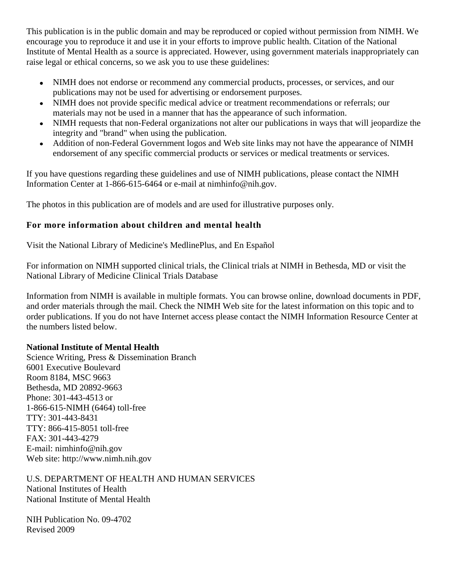This publication is in the public domain and may be reproduced or copied without permission from NIMH. We encourage you to reproduce it and use it in your efforts to improve public health. Citation of the National Institute of Mental Health as a source is appreciated. However, using government materials inappropriately can raise legal or ethical concerns, so we ask you to use these guidelines:

- NIMH does not endorse or recommend any commercial products, processes, or services, and our  $\bullet$ publications may not be used for advertising or endorsement purposes.
- NIMH does not provide specific medical advice or treatment recommendations or referrals; our  $\bullet$ materials may not be used in a manner that has the appearance of such information.
- NIMH requests that non-Federal organizations not alter our publications in ways that will jeopardize the  $\bullet$ integrity and "brand" when using the publication.
- Addition of non-Federal Government logos and Web site links may not have the appearance of NIMH endorsement of any specific commercial products or services or medical treatments or services.

If you have questions regarding these guidelines and use of NIMH publications, please contact the NIMH Information Center at 1-866-615-6464 or e-mail at [nimhinfo@nih.gov.](mailto:nimhinfo@nih.gov)

The photos in this publication are of models and are used for illustrative purposes only.

## **For more information about children and mental health**

Visit the National Library of Medicine's [MedlinePlus,](http://medlineplus.gov/) and [En Español](http://medlineplus.gov/spanish)

For information on [NIMH supported clinical trials,](http://www.nimh.nih.gov/health/trials/index.shtml) the [Clinical trials at NIMH](http://patientinfo.nimh.nih.gov/) in Bethesda, MD or visit the National Library of Medicine [Clinical Trials Database](http://www.clinicaltrials.gov/)

Information from NIMH is available in multiple formats. You can browse online, download documents in PDF, and order materials through the mail. Check the [NIMH Web site](http://www.nimh.nih.gov/) for the latest information on this topic and to order publications. If you do not have Internet access please contact the NIMH Information Resource Center at the numbers listed below.

#### **National Institute of Mental Health**

Science Writing, Press & Dissemination Branch 6001 Executive Boulevard Room 8184, MSC 9663 Bethesda, MD 20892-9663 Phone: 301-443-4513 or 1-866-615-NIMH (6464) toll-free TTY: 301-443-8431 TTY: 866-415-8051 toll-free FAX: 301-443-4279 E-mail: [nimhinfo@nih.gov](mailto:nimhinfo@nih.gov) Web site: [http://www.nimh.nih.gov](http://www.nimh.nih.gov/)

U.S. DEPARTMENT OF HEALTH AND HUMAN SERVICES National Institutes of Health National Institute of Mental Health

NIH Publication No. 09-4702 Revised 2009